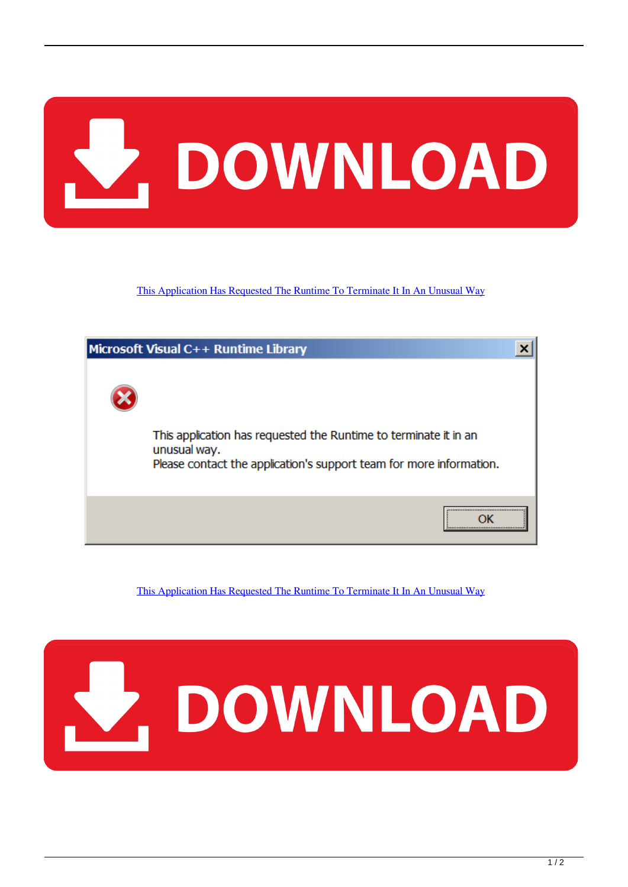

[This Application Has Requested The Runtime To Terminate It In An Unusual Way](http://bytlly.com/1bv7jf)



[This Application Has Requested The Runtime To Terminate It In An Unusual Way](http://bytlly.com/1bv7jf)